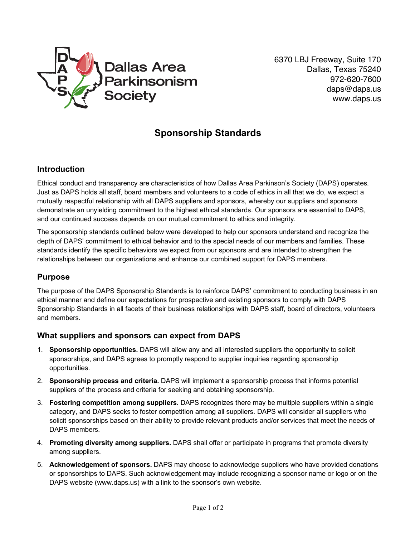

6370 LBJ Freeway, Suite 170 Dallas, Texas 75240 972-620-7600 daps@daps.us www.daps.us

# **Sponsorship Standards**

# **Introduction**

Ethical conduct and transparency are characteristics of how Dallas Area Parkinson's Society (DAPS) operates. Just as DAPS holds all staff, board members and volunteers to a code of ethics in all that we do, we expect a mutually respectful relationship with all DAPS suppliers and sponsors, whereby our suppliers and sponsors demonstrate an unyielding commitment to the highest ethical standards. Our sponsors are essential to DAPS, and our continued success depends on our mutual commitment to ethics and integrity.

The sponsorship standards outlined below were developed to help our sponsors understand and recognize the depth of DAPS' commitment to ethical behavior and to the special needs of our members and families. These standards identify the specific behaviors we expect from our sponsors and are intended to strengthen the relationships between our organizations and enhance our combined support for DAPS members.

### **Purpose**

The purpose of the DAPS Sponsorship Standards is to reinforce DAPS' commitment to conducting business in an ethical manner and define our expectations for prospective and existing sponsors to comply with DAPS Sponsorship Standards in all facets of their business relationships with DAPS staff, board of directors, volunteers and members.

### **What suppliers and sponsors can expect from DAPS**

- 1. **Sponsorship opportunities.** DAPS will allow any and all interested suppliers the opportunity to solicit sponsorships, and DAPS agrees to promptly respond to supplier inquiries regarding sponsorship opportunities.
- 2. **Sponsorship process and criteria.** DAPS will implement a sponsorship process that informs potential suppliers of the process and criteria for seeking and obtaining sponsorship.
- 3. **Fostering competition among suppliers.** DAPS recognizes there may be multiple suppliers within a single category, and DAPS seeks to foster competition among all suppliers. DAPS will consider all suppliers who solicit sponsorships based on their ability to provide relevant products and/or services that meet the needs of DAPS members.
- 4. **Promoting diversity among suppliers.** DAPS shall offer or participate in programs that promote diversity among suppliers.
- 5. **Acknowledgement of sponsors.** DAPS may choose to acknowledge suppliers who have provided donations or sponsorships to DAPS. Such acknowledgement may include recognizing a sponsor name or logo or on the DAPS website (www.daps.us) with a link to the sponsor's own website.